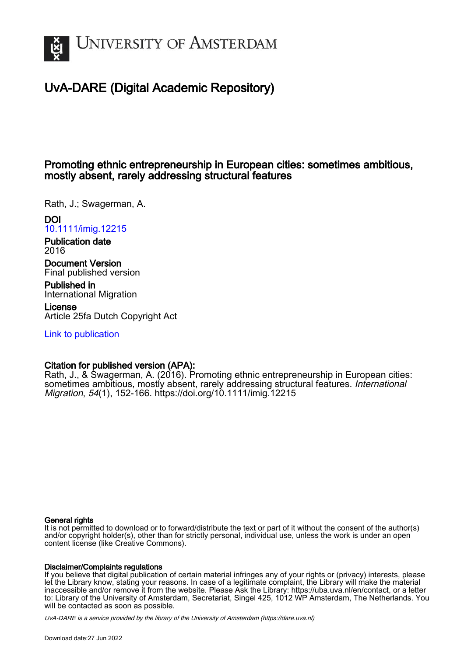

# UvA-DARE (Digital Academic Repository)

## Promoting ethnic entrepreneurship in European cities: sometimes ambitious, mostly absent, rarely addressing structural features

Rath, J.; Swagerman, A.

DOI [10.1111/imig.12215](https://doi.org/10.1111/imig.12215)

Publication date 2016

Document Version Final published version

Published in International Migration

License Article 25fa Dutch Copyright Act

[Link to publication](https://dare.uva.nl/personal/pure/en/publications/promoting-ethnic-entrepreneurship-in-european-cities-sometimes-ambitious-mostly-absent-rarely-addressing-structural-features(42ec0103-a9f3-4858-bf9a-326e4357fca2).html)

## Citation for published version (APA):

Rath, J., & Swagerman, A. (2016). Promoting ethnic entrepreneurship in European cities: sometimes ambitious, mostly absent, rarely addressing structural features. International Migration, 54(1), 152-166.<https://doi.org/10.1111/imig.12215>

## General rights

It is not permitted to download or to forward/distribute the text or part of it without the consent of the author(s) and/or copyright holder(s), other than for strictly personal, individual use, unless the work is under an open content license (like Creative Commons).

## Disclaimer/Complaints regulations

If you believe that digital publication of certain material infringes any of your rights or (privacy) interests, please let the Library know, stating your reasons. In case of a legitimate complaint, the Library will make the material inaccessible and/or remove it from the website. Please Ask the Library: https://uba.uva.nl/en/contact, or a letter to: Library of the University of Amsterdam, Secretariat, Singel 425, 1012 WP Amsterdam, The Netherlands. You will be contacted as soon as possible.

UvA-DARE is a service provided by the library of the University of Amsterdam (http*s*://dare.uva.nl)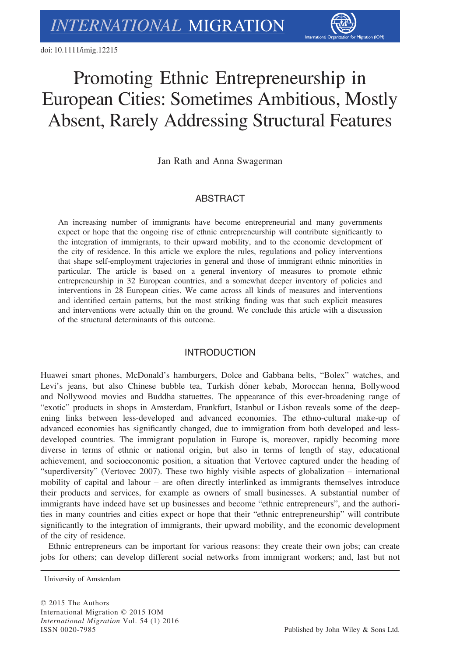

# Promoting Ethnic Entrepreneurship in European Cities: Sometimes Ambitious, Mostly Absent, Rarely Addressing Structural Features

Jan Rath and Anna Swagerman

## ABSTRACT

An increasing number of immigrants have become entrepreneurial and many governments expect or hope that the ongoing rise of ethnic entrepreneurship will contribute significantly to the integration of immigrants, to their upward mobility, and to the economic development of the city of residence. In this article we explore the rules, regulations and policy interventions that shape self-employment trajectories in general and those of immigrant ethnic minorities in particular. The article is based on a general inventory of measures to promote ethnic entrepreneurship in 32 European countries, and a somewhat deeper inventory of policies and interventions in 28 European cities. We came across all kinds of measures and interventions and identified certain patterns, but the most striking finding was that such explicit measures and interventions were actually thin on the ground. We conclude this article with a discussion of the structural determinants of this outcome.

## INTRODUCTION

Huawei smart phones, McDonald's hamburgers, Dolce and Gabbana belts, "Bolex" watches, and Levi's jeans, but also Chinese bubble tea, Turkish döner kebab, Moroccan henna, Bollywood and Nollywood movies and Buddha statuettes. The appearance of this ever-broadening range of "exotic" products in shops in Amsterdam, Frankfurt, Istanbul or Lisbon reveals some of the deepening links between less-developed and advanced economies. The ethno-cultural make-up of advanced economies has significantly changed, due to immigration from both developed and lessdeveloped countries. The immigrant population in Europe is, moreover, rapidly becoming more diverse in terms of ethnic or national origin, but also in terms of length of stay, educational achievement, and socioeconomic position, a situation that Vertovec captured under the heading of "superdiversity" (Vertovec 2007). These two highly visible aspects of globalization – international mobility of capital and labour – are often directly interlinked as immigrants themselves introduce their products and services, for example as owners of small businesses. A substantial number of immigrants have indeed have set up businesses and become "ethnic entrepreneurs", and the authorities in many countries and cities expect or hope that their "ethnic entrepreneurship" will contribute significantly to the integration of immigrants, their upward mobility, and the economic development of the city of residence.

Ethnic entrepreneurs can be important for various reasons: they create their own jobs; can create jobs for others; can develop different social networks from immigrant workers; and, last but not

University of Amsterdam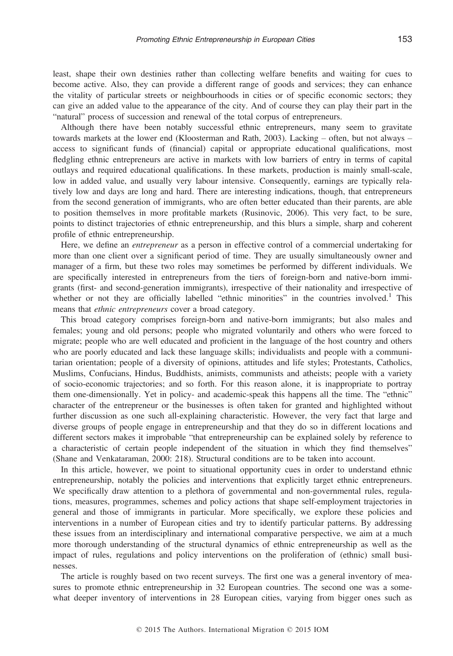least, shape their own destinies rather than collecting welfare benefits and waiting for cues to become active. Also, they can provide a different range of goods and services; they can enhance the vitality of particular streets or neighbourhoods in cities or of specific economic sectors; they can give an added value to the appearance of the city. And of course they can play their part in the "natural" process of succession and renewal of the total corpus of entrepreneurs.

Although there have been notably successful ethnic entrepreneurs, many seem to gravitate towards markets at the lower end (Kloosterman and Rath, 2003). Lacking – often, but not always – access to significant funds of (financial) capital or appropriate educational qualifications, most fledgling ethnic entrepreneurs are active in markets with low barriers of entry in terms of capital outlays and required educational qualifications. In these markets, production is mainly small-scale, low in added value, and usually very labour intensive. Consequently, earnings are typically relatively low and days are long and hard. There are interesting indications, though, that entrepreneurs from the second generation of immigrants, who are often better educated than their parents, are able to position themselves in more profitable markets (Rusinovic, 2006). This very fact, to be sure, points to distinct trajectories of ethnic entrepreneurship, and this blurs a simple, sharp and coherent profile of ethnic entrepreneurship.

Here, we define an entrepreneur as a person in effective control of a commercial undertaking for more than one client over a significant period of time. They are usually simultaneously owner and manager of a firm, but these two roles may sometimes be performed by different individuals. We are specifically interested in entrepreneurs from the tiers of foreign-born and native-born immigrants (first- and second-generation immigrants), irrespective of their nationality and irrespective of whether or not they are officially labelled "ethnic minorities" in the countries involved.<sup>1</sup> This means that ethnic entrepreneurs cover a broad category.

This broad category comprises foreign-born and native-born immigrants; but also males and females; young and old persons; people who migrated voluntarily and others who were forced to migrate; people who are well educated and proficient in the language of the host country and others who are poorly educated and lack these language skills; individualists and people with a communitarian orientation; people of a diversity of opinions, attitudes and life styles; Protestants, Catholics, Muslims, Confucians, Hindus, Buddhists, animists, communists and atheists; people with a variety of socio-economic trajectories; and so forth. For this reason alone, it is inappropriate to portray them one-dimensionally. Yet in policy- and academic-speak this happens all the time. The "ethnic" character of the entrepreneur or the businesses is often taken for granted and highlighted without further discussion as one such all-explaining characteristic. However, the very fact that large and diverse groups of people engage in entrepreneurship and that they do so in different locations and different sectors makes it improbable "that entrepreneurship can be explained solely by reference to a characteristic of certain people independent of the situation in which they find themselves" (Shane and Venkataraman, 2000: 218). Structural conditions are to be taken into account.

In this article, however, we point to situational opportunity cues in order to understand ethnic entrepreneurship, notably the policies and interventions that explicitly target ethnic entrepreneurs. We specifically draw attention to a plethora of governmental and non-governmental rules, regulations, measures, programmes, schemes and policy actions that shape self-employment trajectories in general and those of immigrants in particular. More specifically, we explore these policies and interventions in a number of European cities and try to identify particular patterns. By addressing these issues from an interdisciplinary and international comparative perspective, we aim at a much more thorough understanding of the structural dynamics of ethnic entrepreneurship as well as the impact of rules, regulations and policy interventions on the proliferation of (ethnic) small businesses.

The article is roughly based on two recent surveys. The first one was a general inventory of measures to promote ethnic entrepreneurship in 32 European countries. The second one was a somewhat deeper inventory of interventions in 28 European cities, varying from bigger ones such as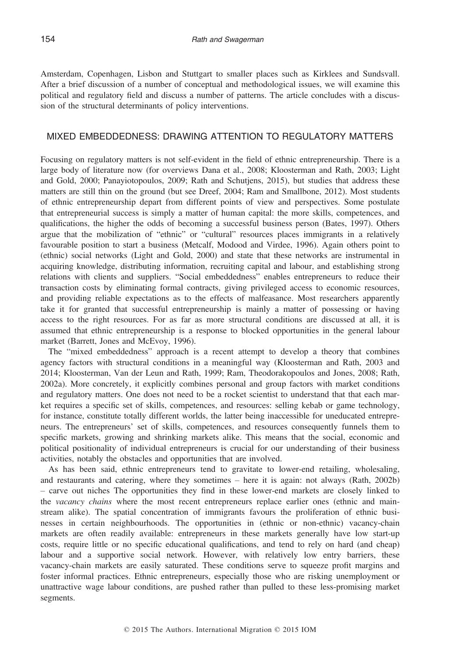Amsterdam, Copenhagen, Lisbon and Stuttgart to smaller places such as Kirklees and Sundsvall. After a brief discussion of a number of conceptual and methodological issues, we will examine this political and regulatory field and discuss a number of patterns. The article concludes with a discussion of the structural determinants of policy interventions.

## MIXED EMBEDDEDNESS: DRAWING ATTENTION TO REGULATORY MATTERS

Focusing on regulatory matters is not self-evident in the field of ethnic entrepreneurship. There is a large body of literature now (for overviews Dana et al., 2008; Kloosterman and Rath, 2003; Light and Gold, 2000; Panayiotopoulos, 2009; Rath and Schutjens, 2015), but studies that address these matters are still thin on the ground (but see Dreef, 2004; Ram and Smallbone, 2012). Most students of ethnic entrepreneurship depart from different points of view and perspectives. Some postulate that entrepreneurial success is simply a matter of human capital: the more skills, competences, and qualifications, the higher the odds of becoming a successful business person (Bates, 1997). Others argue that the mobilization of "ethnic" or "cultural" resources places immigrants in a relatively favourable position to start a business (Metcalf, Modood and Virdee, 1996). Again others point to (ethnic) social networks (Light and Gold, 2000) and state that these networks are instrumental in acquiring knowledge, distributing information, recruiting capital and labour, and establishing strong relations with clients and suppliers. "Social embeddedness" enables entrepreneurs to reduce their transaction costs by eliminating formal contracts, giving privileged access to economic resources, and providing reliable expectations as to the effects of malfeasance. Most researchers apparently take it for granted that successful entrepreneurship is mainly a matter of possessing or having access to the right resources. For as far as more structural conditions are discussed at all, it is assumed that ethnic entrepreneurship is a response to blocked opportunities in the general labour market (Barrett, Jones and McEvoy, 1996).

The "mixed embeddedness" approach is a recent attempt to develop a theory that combines agency factors with structural conditions in a meaningful way (Kloosterman and Rath, 2003 and 2014; Kloosterman, Van der Leun and Rath, 1999; Ram, Theodorakopoulos and Jones, 2008; Rath, 2002a). More concretely, it explicitly combines personal and group factors with market conditions and regulatory matters. One does not need to be a rocket scientist to understand that that each market requires a specific set of skills, competences, and resources: selling kebab or game technology, for instance, constitute totally different worlds, the latter being inaccessible for uneducated entrepreneurs. The entrepreneurs' set of skills, competences, and resources consequently funnels them to specific markets, growing and shrinking markets alike. This means that the social, economic and political positionality of individual entrepreneurs is crucial for our understanding of their business activities, notably the obstacles and opportunities that are involved.

As has been said, ethnic entrepreneurs tend to gravitate to lower-end retailing, wholesaling, and restaurants and catering, where they sometimes – here it is again: not always (Rath, 2002b) – carve out niches The opportunities they find in these lower-end markets are closely linked to the vacancy chains where the most recent entrepreneurs replace earlier ones (ethnic and mainstream alike). The spatial concentration of immigrants favours the proliferation of ethnic businesses in certain neighbourhoods. The opportunities in (ethnic or non-ethnic) vacancy-chain markets are often readily available: entrepreneurs in these markets generally have low start-up costs, require little or no specific educational qualifications, and tend to rely on hard (and cheap) labour and a supportive social network. However, with relatively low entry barriers, these vacancy-chain markets are easily saturated. These conditions serve to squeeze profit margins and foster informal practices. Ethnic entrepreneurs, especially those who are risking unemployment or unattractive wage labour conditions, are pushed rather than pulled to these less-promising market segments.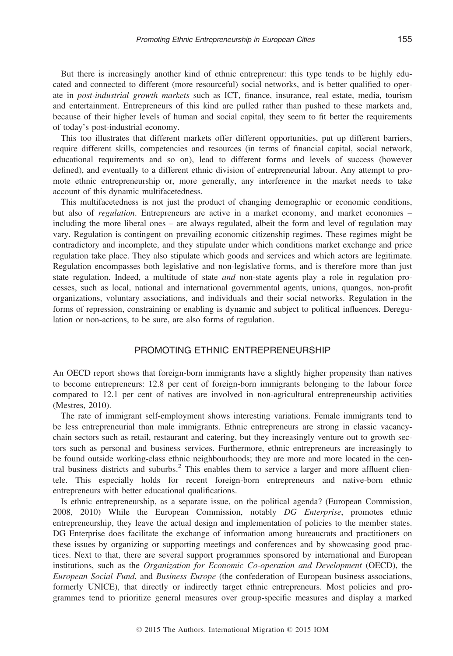But there is increasingly another kind of ethnic entrepreneur: this type tends to be highly educated and connected to different (more resourceful) social networks, and is better qualified to operate in post-industrial growth markets such as ICT, finance, insurance, real estate, media, tourism and entertainment. Entrepreneurs of this kind are pulled rather than pushed to these markets and, because of their higher levels of human and social capital, they seem to fit better the requirements of today's post-industrial economy.

This too illustrates that different markets offer different opportunities, put up different barriers, require different skills, competencies and resources (in terms of financial capital, social network, educational requirements and so on), lead to different forms and levels of success (however defined), and eventually to a different ethnic division of entrepreneurial labour. Any attempt to promote ethnic entrepreneurship or, more generally, any interference in the market needs to take account of this dynamic multifacetedness.

This multifacetedness is not just the product of changing demographic or economic conditions, but also of regulation. Entrepreneurs are active in a market economy, and market economies – including the more liberal ones – are always regulated, albeit the form and level of regulation may vary. Regulation is contingent on prevailing economic citizenship regimes. These regimes might be contradictory and incomplete, and they stipulate under which conditions market exchange and price regulation take place. They also stipulate which goods and services and which actors are legitimate. Regulation encompasses both legislative and non-legislative forms, and is therefore more than just state regulation. Indeed, a multitude of state *and* non-state agents play a role in regulation processes, such as local, national and international governmental agents, unions, quangos, non-profit organizations, voluntary associations, and individuals and their social networks. Regulation in the forms of repression, constraining or enabling is dynamic and subject to political influences. Deregulation or non-actions, to be sure, are also forms of regulation.

## PROMOTING ETHNIC ENTREPRENEURSHIP

An OECD report shows that foreign-born immigrants have a slightly higher propensity than natives to become entrepreneurs: 12.8 per cent of foreign-born immigrants belonging to the labour force compared to 12.1 per cent of natives are involved in non-agricultural entrepreneurship activities (Mestres, 2010).

The rate of immigrant self-employment shows interesting variations. Female immigrants tend to be less entrepreneurial than male immigrants. Ethnic entrepreneurs are strong in classic vacancychain sectors such as retail, restaurant and catering, but they increasingly venture out to growth sectors such as personal and business services. Furthermore, ethnic entrepreneurs are increasingly to be found outside working-class ethnic neighbourhoods; they are more and more located in the central business districts and suburbs.<sup>2</sup> This enables them to service a larger and more affluent clientele. This especially holds for recent foreign-born entrepreneurs and native-born ethnic entrepreneurs with better educational qualifications.

Is ethnic entrepreneurship, as a separate issue, on the political agenda? (European Commission, 2008, 2010) While the European Commission, notably DG Enterprise, promotes ethnic entrepreneurship, they leave the actual design and implementation of policies to the member states. DG Enterprise does facilitate the exchange of information among bureaucrats and practitioners on these issues by organizing or supporting meetings and conferences and by showcasing good practices. Next to that, there are several support programmes sponsored by international and European institutions, such as the *Organization for Economic Co-operation and Development* (OECD), the European Social Fund, and Business Europe (the confederation of European business associations, formerly UNICE), that directly or indirectly target ethnic entrepreneurs. Most policies and programmes tend to prioritize general measures over group-specific measures and display a marked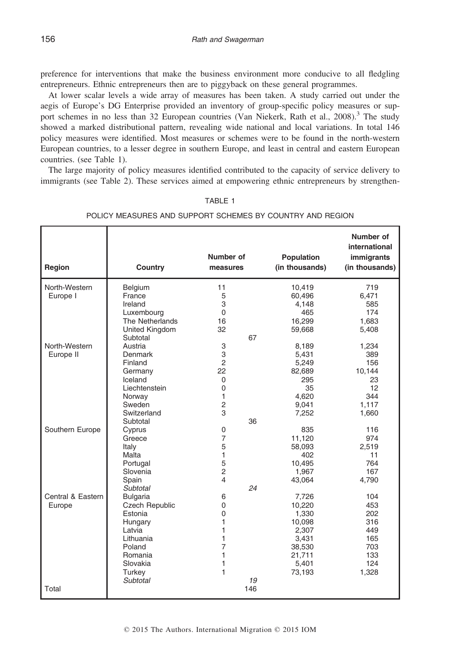preference for interventions that make the business environment more conducive to all fledgling entrepreneurs. Ethnic entrepreneurs then are to piggyback on these general programmes.

At lower scalar levels a wide array of measures has been taken. A study carried out under the aegis of Europe's DG Enterprise provided an inventory of group-specific policy measures or support schemes in no less than 32 European countries (Van Niekerk, Rath et al., 2008).<sup>3</sup> The study showed a marked distributional pattern, revealing wide national and local variations. In total 146 policy measures were identified. Most measures or schemes were to be found in the north-western European countries, to a lesser degree in southern Europe, and least in central and eastern European countries. (see Table 1).

The large majority of policy measures identified contributed to the capacity of service delivery to immigrants (see Table 2). These services aimed at empowering ethnic entrepreneurs by strengthen-

| Region            | Country               | Number of<br>measures |     | Population<br>(in thousands) | Number of<br>international<br>immigrants<br>(in thousands) |
|-------------------|-----------------------|-----------------------|-----|------------------------------|------------------------------------------------------------|
| North-Western     | Belgium               | 11                    |     | 10,419                       | 719                                                        |
| Europe I          | France                | 5                     |     | 60,496                       | 6,471                                                      |
|                   | Ireland               | 3                     |     | 4,148                        | 585                                                        |
|                   | Luxembourg            | $\Omega$              |     | 465                          | 174                                                        |
|                   | The Netherlands       | 16                    |     | 16.299                       | 1.683                                                      |
|                   | United Kingdom        | 32                    |     | 59,668                       | 5,408                                                      |
|                   | Subtotal              |                       | 67  |                              |                                                            |
| North-Western     | Austria               | 3                     |     | 8,189                        | 1,234                                                      |
| Europe II         | <b>Denmark</b>        | 3                     |     | 5,431                        | 389                                                        |
|                   | Finland               | $\overline{2}$        |     | 5,249                        | 156                                                        |
|                   | Germany               | 22                    |     | 82.689                       | 10.144                                                     |
|                   | Iceland               | 0                     |     | 295                          | 23                                                         |
|                   | Liechtenstein         | 0                     |     | 35                           | 12                                                         |
|                   | Norway                | 1                     |     | 4,620                        | 344                                                        |
|                   | Sweden                | $\overline{2}$        |     | 9,041                        | 1,117                                                      |
|                   | Switzerland           | 3                     |     | 7,252                        | 1,660                                                      |
|                   | Subtotal              |                       | 36  |                              |                                                            |
| Southern Europe   | Cyprus                | 0                     |     | 835                          | 116                                                        |
|                   | Greece                | $\overline{7}$        |     | 11,120                       | 974                                                        |
|                   | Italy                 | 5                     |     | 58,093                       | 2,519                                                      |
|                   | Malta                 | 1                     |     | 402                          | 11                                                         |
|                   | Portugal              | 5                     |     | 10.495                       | 764                                                        |
|                   | Slovenia              | $\overline{2}$        |     | 1,967                        | 167                                                        |
|                   | Spain                 | 4                     |     | 43,064                       | 4,790                                                      |
|                   | Subtotal              |                       | 24  |                              |                                                            |
| Central & Eastern | <b>Bulgaria</b>       | 6                     |     | 7,726                        | 104                                                        |
| Europe            | <b>Czech Republic</b> | 0                     |     | 10,220                       | 453                                                        |
|                   | Estonia               | 0                     |     | 1,330                        | 202                                                        |
|                   | Hungary               | 1                     |     | 10,098                       | 316                                                        |
|                   | Latvia                | 1                     |     | 2,307                        | 449                                                        |
|                   | Lithuania             | 1                     |     | 3,431                        | 165                                                        |
|                   | Poland                | $\overline{7}$        |     | 38,530                       | 703                                                        |
|                   | Romania               | 1                     |     | 21,711                       | 133                                                        |
|                   | Slovakia              | 1                     |     | 5.401                        | 124                                                        |
|                   | Turkey                | 1                     |     | 73,193                       | 1,328                                                      |
|                   | Subtotal              |                       | 19  |                              |                                                            |
| Total             |                       |                       | 146 |                              |                                                            |

TABLE 1

#### POLICY MEASURES AND SUPPORT SCHEMES BY COUNTRY AND REGION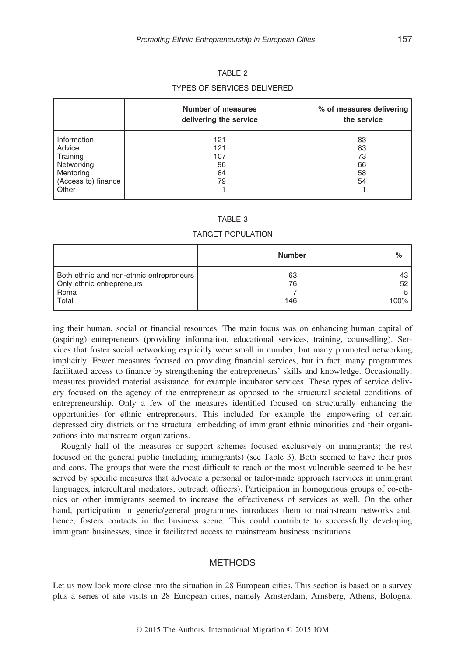## TABLE 2

#### TYPES OF SERVICES DELIVERED

|                     | Number of measures<br>delivering the service | % of measures delivering<br>the service |
|---------------------|----------------------------------------------|-----------------------------------------|
| Information         | 121                                          | 83                                      |
| Advice              | 121                                          | 83                                      |
| Training            | 107                                          | 73                                      |
| Networking          | 96                                           | 66                                      |
| Mentoring           | 84                                           | 58                                      |
| (Access to) finance | 79                                           | 54                                      |
| Other               |                                              |                                         |

#### TABLE 3

#### TARGET POPULATION

|                                                                                        | <b>Number</b>   | %          |
|----------------------------------------------------------------------------------------|-----------------|------------|
| Both ethnic and non-ethnic entrepreneurs<br>Only ethnic entrepreneurs<br>Roma<br>Total | 63<br>76<br>146 | 52<br>100% |

ing their human, social or financial resources. The main focus was on enhancing human capital of (aspiring) entrepreneurs (providing information, educational services, training, counselling). Services that foster social networking explicitly were small in number, but many promoted networking implicitly. Fewer measures focused on providing financial services, but in fact, many programmes facilitated access to finance by strengthening the entrepreneurs' skills and knowledge. Occasionally, measures provided material assistance, for example incubator services. These types of service delivery focused on the agency of the entrepreneur as opposed to the structural societal conditions of entrepreneurship. Only a few of the measures identified focused on structurally enhancing the opportunities for ethnic entrepreneurs. This included for example the empowering of certain depressed city districts or the structural embedding of immigrant ethnic minorities and their organizations into mainstream organizations.

Roughly half of the measures or support schemes focused exclusively on immigrants; the rest focused on the general public (including immigrants) (see Table 3). Both seemed to have their pros and cons. The groups that were the most difficult to reach or the most vulnerable seemed to be best served by specific measures that advocate a personal or tailor-made approach (services in immigrant languages, intercultural mediators, outreach officers). Participation in homogenous groups of co-ethnics or other immigrants seemed to increase the effectiveness of services as well. On the other hand, participation in generic/general programmes introduces them to mainstream networks and, hence, fosters contacts in the business scene. This could contribute to successfully developing immigrant businesses, since it facilitated access to mainstream business institutions.

## **METHODS**

Let us now look more close into the situation in 28 European cities. This section is based on a survey plus a series of site visits in 28 European cities, namely Amsterdam, Arnsberg, Athens, Bologna,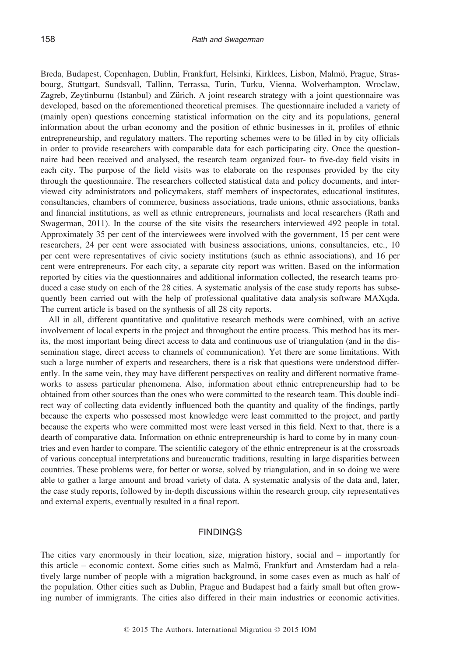Breda, Budapest, Copenhagen, Dublin, Frankfurt, Helsinki, Kirklees, Lisbon, Malmö, Prague, Strasbourg, Stuttgart, Sundsvall, Tallinn, Terrassa, Turin, Turku, Vienna, Wolverhampton, Wroclaw, Zagreb, Zeytinburnu (Istanbul) and Zürich. A joint research strategy with a joint questionnaire was developed, based on the aforementioned theoretical premises. The questionnaire included a variety of (mainly open) questions concerning statistical information on the city and its populations, general information about the urban economy and the position of ethnic businesses in it, profiles of ethnic entrepreneurship, and regulatory matters. The reporting schemes were to be filled in by city officials in order to provide researchers with comparable data for each participating city. Once the questionnaire had been received and analysed, the research team organized four- to five-day field visits in each city. The purpose of the field visits was to elaborate on the responses provided by the city through the questionnaire. The researchers collected statistical data and policy documents, and interviewed city administrators and policymakers, staff members of inspectorates, educational institutes, consultancies, chambers of commerce, business associations, trade unions, ethnic associations, banks and financial institutions, as well as ethnic entrepreneurs, journalists and local researchers (Rath and Swagerman, 2011). In the course of the site visits the researchers interviewed 492 people in total. Approximately 35 per cent of the interviewees were involved with the government, 15 per cent were researchers, 24 per cent were associated with business associations, unions, consultancies, etc., 10 per cent were representatives of civic society institutions (such as ethnic associations), and 16 per cent were entrepreneurs. For each city, a separate city report was written. Based on the information reported by cities via the questionnaires and additional information collected, the research teams produced a case study on each of the 28 cities. A systematic analysis of the case study reports has subsequently been carried out with the help of professional qualitative data analysis software MAXqda. The current article is based on the synthesis of all 28 city reports.

All in all, different quantitative and qualitative research methods were combined, with an active involvement of local experts in the project and throughout the entire process. This method has its merits, the most important being direct access to data and continuous use of triangulation (and in the dissemination stage, direct access to channels of communication). Yet there are some limitations. With such a large number of experts and researchers, there is a risk that questions were understood differently. In the same vein, they may have different perspectives on reality and different normative frameworks to assess particular phenomena. Also, information about ethnic entrepreneurship had to be obtained from other sources than the ones who were committed to the research team. This double indirect way of collecting data evidently influenced both the quantity and quality of the findings, partly because the experts who possessed most knowledge were least committed to the project, and partly because the experts who were committed most were least versed in this field. Next to that, there is a dearth of comparative data. Information on ethnic entrepreneurship is hard to come by in many countries and even harder to compare. The scientific category of the ethnic entrepreneur is at the crossroads of various conceptual interpretations and bureaucratic traditions, resulting in large disparities between countries. These problems were, for better or worse, solved by triangulation, and in so doing we were able to gather a large amount and broad variety of data. A systematic analysis of the data and, later, the case study reports, followed by in-depth discussions within the research group, city representatives and external experts, eventually resulted in a final report.

## FINDINGS

The cities vary enormously in their location, size, migration history, social and – importantly for this article – economic context. Some cities such as Malm€o, Frankfurt and Amsterdam had a relatively large number of people with a migration background, in some cases even as much as half of the population. Other cities such as Dublin, Prague and Budapest had a fairly small but often growing number of immigrants. The cities also differed in their main industries or economic activities.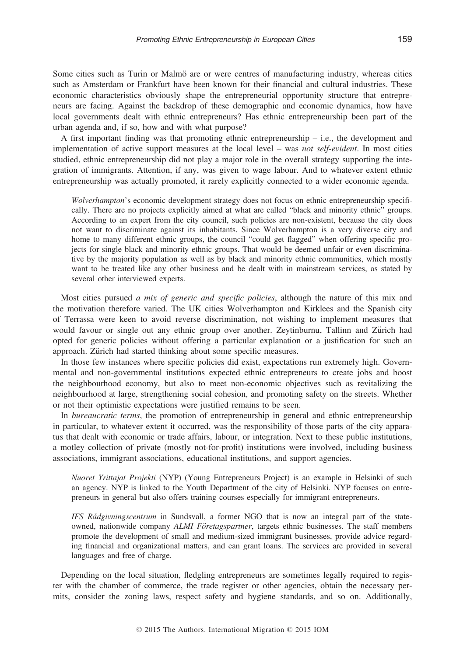Some cities such as Turin or Malmö are or were centres of manufacturing industry, whereas cities such as Amsterdam or Frankfurt have been known for their financial and cultural industries. These economic characteristics obviously shape the entrepreneurial opportunity structure that entrepreneurs are facing. Against the backdrop of these demographic and economic dynamics, how have local governments dealt with ethnic entrepreneurs? Has ethnic entrepreneurship been part of the urban agenda and, if so, how and with what purpose?

A first important finding was that promoting ethnic entrepreneurship – i.e., the development and implementation of active support measures at the local level – was not self-evident. In most cities studied, ethnic entrepreneurship did not play a major role in the overall strategy supporting the integration of immigrants. Attention, if any, was given to wage labour. And to whatever extent ethnic entrepreneurship was actually promoted, it rarely explicitly connected to a wider economic agenda.

Wolverhampton's economic development strategy does not focus on ethnic entrepreneurship specifically. There are no projects explicitly aimed at what are called "black and minority ethnic" groups. According to an expert from the city council, such policies are non-existent, because the city does not want to discriminate against its inhabitants. Since Wolverhampton is a very diverse city and home to many different ethnic groups, the council "could get flagged" when offering specific projects for single black and minority ethnic groups. That would be deemed unfair or even discriminative by the majority population as well as by black and minority ethnic communities, which mostly want to be treated like any other business and be dealt with in mainstream services, as stated by several other interviewed experts.

Most cities pursued *a mix of generic and specific policies*, although the nature of this mix and the motivation therefore varied. The UK cities Wolverhampton and Kirklees and the Spanish city of Terrassa were keen to avoid reverse discrimination, not wishing to implement measures that would favour or single out any ethnic group over another. Zeytinburnu, Tallinn and Zürich had opted for generic policies without offering a particular explanation or a justification for such an approach. Zürich had started thinking about some specific measures.

In those few instances where specific policies did exist, expectations run extremely high. Governmental and non-governmental institutions expected ethnic entrepreneurs to create jobs and boost the neighbourhood economy, but also to meet non-economic objectives such as revitalizing the neighbourhood at large, strengthening social cohesion, and promoting safety on the streets. Whether or not their optimistic expectations were justified remains to be seen.

In *bureaucratic terms*, the promotion of entrepreneurship in general and ethnic entrepreneurship in particular, to whatever extent it occurred, was the responsibility of those parts of the city apparatus that dealt with economic or trade affairs, labour, or integration. Next to these public institutions, a motley collection of private (mostly not-for-profit) institutions were involved, including business associations, immigrant associations, educational institutions, and support agencies.

Nuoret Yrittajat Projekti (NYP) (Young Entrepreneurs Project) is an example in Helsinki of such an agency. NYP is linked to the Youth Department of the city of Helsinki. NYP focuses on entrepreneurs in general but also offers training courses especially for immigrant entrepreneurs.

IFS Radgivningscentrum in Sundsvall, a former NGO that is now an integral part of the stateowned, nationwide company ALMI Företagspartner, targets ethnic businesses. The staff members promote the development of small and medium-sized immigrant businesses, provide advice regarding financial and organizational matters, and can grant loans. The services are provided in several languages and free of charge.

Depending on the local situation, fledgling entrepreneurs are sometimes legally required to register with the chamber of commerce, the trade register or other agencies, obtain the necessary permits, consider the zoning laws, respect safety and hygiene standards, and so on. Additionally,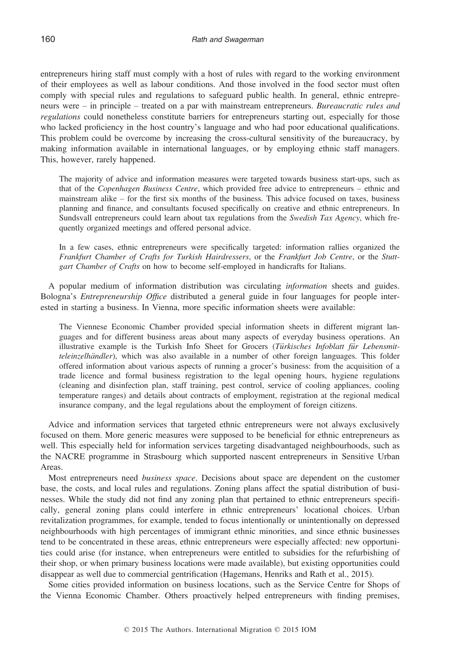entrepreneurs hiring staff must comply with a host of rules with regard to the working environment of their employees as well as labour conditions. And those involved in the food sector must often comply with special rules and regulations to safeguard public health. In general, ethnic entrepreneurs were – in principle – treated on a par with mainstream entrepreneurs. Bureaucratic rules and regulations could nonetheless constitute barriers for entrepreneurs starting out, especially for those who lacked proficiency in the host country's language and who had poor educational qualifications. This problem could be overcome by increasing the cross-cultural sensitivity of the bureaucracy, by making information available in international languages, or by employing ethnic staff managers. This, however, rarely happened.

The majority of advice and information measures were targeted towards business start-ups, such as that of the Copenhagen Business Centre, which provided free advice to entrepreneurs – ethnic and mainstream alike – for the first six months of the business. This advice focused on taxes, business planning and finance, and consultants focused specifically on creative and ethnic entrepreneurs. In Sundsvall entrepreneurs could learn about tax regulations from the Swedish Tax Agency, which frequently organized meetings and offered personal advice.

In a few cases, ethnic entrepreneurs were specifically targeted: information rallies organized the Frankfurt Chamber of Crafts for Turkish Hairdressers, or the Frankfurt Job Centre, or the Stuttgart Chamber of Crafts on how to become self-employed in handicrafts for Italians.

A popular medium of information distribution was circulating information sheets and guides. Bologna's Entrepreneurship Office distributed a general guide in four languages for people interested in starting a business. In Vienna, more specific information sheets were available:

The Viennese Economic Chamber provided special information sheets in different migrant languages and for different business areas about many aspects of everyday business operations. An illustrative example is the Turkish Info Sheet for Grocers (Türkisches Infoblatt für Lebensmitteleinzelhändler), which was also available in a number of other foreign languages. This folder offered information about various aspects of running a grocer's business: from the acquisition of a trade licence and formal business registration to the legal opening hours, hygiene regulations (cleaning and disinfection plan, staff training, pest control, service of cooling appliances, cooling temperature ranges) and details about contracts of employment, registration at the regional medical insurance company, and the legal regulations about the employment of foreign citizens.

Advice and information services that targeted ethnic entrepreneurs were not always exclusively focused on them. More generic measures were supposed to be beneficial for ethnic entrepreneurs as well. This especially held for information services targeting disadvantaged neighbourhoods, such as the NACRE programme in Strasbourg which supported nascent entrepreneurs in Sensitive Urban Areas.

Most entrepreneurs need business space. Decisions about space are dependent on the customer base, the costs, and local rules and regulations. Zoning plans affect the spatial distribution of businesses. While the study did not find any zoning plan that pertained to ethnic entrepreneurs specifically, general zoning plans could interfere in ethnic entrepreneurs' locational choices. Urban revitalization programmes, for example, tended to focus intentionally or unintentionally on depressed neighbourhoods with high percentages of immigrant ethnic minorities, and since ethnic businesses tend to be concentrated in these areas, ethnic entrepreneurs were especially affected: new opportunities could arise (for instance, when entrepreneurs were entitled to subsidies for the refurbishing of their shop, or when primary business locations were made available), but existing opportunities could disappear as well due to commercial gentrification (Hagemans, Henriks and Rath et al., 2015).

Some cities provided information on business locations, such as the Service Centre for Shops of the Vienna Economic Chamber. Others proactively helped entrepreneurs with finding premises,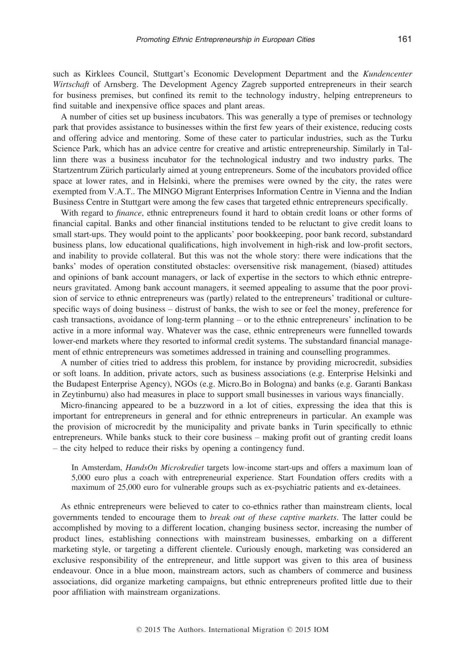such as Kirklees Council, Stuttgart's Economic Development Department and the Kundencenter Wirtschaft of Arnsberg. The Development Agency Zagreb supported entrepreneurs in their search for business premises, but confined its remit to the technology industry, helping entrepreneurs to find suitable and inexpensive office spaces and plant areas.

A number of cities set up business incubators. This was generally a type of premises or technology park that provides assistance to businesses within the first few years of their existence, reducing costs and offering advice and mentoring. Some of these cater to particular industries, such as the Turku Science Park, which has an advice centre for creative and artistic entrepreneurship. Similarly in Tallinn there was a business incubator for the technological industry and two industry parks. The Startzentrum Zürich particularly aimed at young entrepreneurs. Some of the incubators provided office space at lower rates, and in Helsinki, where the premises were owned by the city, the rates were exempted from V.A.T.. The MINGO Migrant Enterprises Information Centre in Vienna and the Indian Business Centre in Stuttgart were among the few cases that targeted ethnic entrepreneurs specifically.

With regard to *finance*, ethnic entrepreneurs found it hard to obtain credit loans or other forms of financial capital. Banks and other financial institutions tended to be reluctant to give credit loans to small start-ups. They would point to the applicants' poor bookkeeping, poor bank record, substandard business plans, low educational qualifications, high involvement in high-risk and low-profit sectors, and inability to provide collateral. But this was not the whole story: there were indications that the banks' modes of operation constituted obstacles: oversensitive risk management, (biased) attitudes and opinions of bank account managers, or lack of expertise in the sectors to which ethnic entrepreneurs gravitated. Among bank account managers, it seemed appealing to assume that the poor provision of service to ethnic entrepreneurs was (partly) related to the entrepreneurs' traditional or culturespecific ways of doing business – distrust of banks, the wish to see or feel the money, preference for cash transactions, avoidance of long-term planning – or to the ethnic entrepreneurs' inclination to be active in a more informal way. Whatever was the case, ethnic entrepreneurs were funnelled towards lower-end markets where they resorted to informal credit systems. The substandard financial management of ethnic entrepreneurs was sometimes addressed in training and counselling programmes.

A number of cities tried to address this problem, for instance by providing microcredit, subsidies or soft loans. In addition, private actors, such as business associations (e.g. Enterprise Helsinki and the Budapest Enterprise Agency), NGOs (e.g. Micro.Bo in Bologna) and banks (e.g. Garanti Bankası in Zeytinburnu) also had measures in place to support small businesses in various ways financially.

Micro-financing appeared to be a buzzword in a lot of cities, expressing the idea that this is important for entrepreneurs in general and for ethnic entrepreneurs in particular. An example was the provision of microcredit by the municipality and private banks in Turin specifically to ethnic entrepreneurs. While banks stuck to their core business – making profit out of granting credit loans – the city helped to reduce their risks by opening a contingency fund.

In Amsterdam, HandsOn Microkrediet targets low-income start-ups and offers a maximum loan of 5,000 euro plus a coach with entrepreneurial experience. Start Foundation offers credits with a maximum of 25,000 euro for vulnerable groups such as ex-psychiatric patients and ex-detainees.

As ethnic entrepreneurs were believed to cater to co-ethnics rather than mainstream clients, local governments tended to encourage them to break out of these captive markets. The latter could be accomplished by moving to a different location, changing business sector, increasing the number of product lines, establishing connections with mainstream businesses, embarking on a different marketing style, or targeting a different clientele. Curiously enough, marketing was considered an exclusive responsibility of the entrepreneur, and little support was given to this area of business endeavour. Once in a blue moon, mainstream actors, such as chambers of commerce and business associations, did organize marketing campaigns, but ethnic entrepreneurs profited little due to their poor affiliation with mainstream organizations.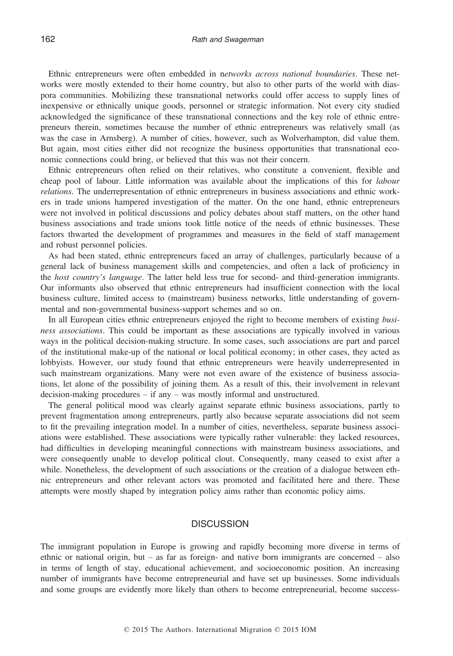Ethnic entrepreneurs were often embedded in networks across national boundaries. These networks were mostly extended to their home country, but also to other parts of the world with diaspora communities. Mobilizing these transnational networks could offer access to supply lines of inexpensive or ethnically unique goods, personnel or strategic information. Not every city studied acknowledged the significance of these transnational connections and the key role of ethnic entrepreneurs therein, sometimes because the number of ethnic entrepreneurs was relatively small (as was the case in Arnsberg). A number of cities, however, such as Wolverhampton, did value them. But again, most cities either did not recognize the business opportunities that transnational economic connections could bring, or believed that this was not their concern.

Ethnic entrepreneurs often relied on their relatives, who constitute a convenient, flexible and cheap pool of labour. Little information was available about the implications of this for *labour* relations. The underrepresentation of ethnic entrepreneurs in business associations and ethnic workers in trade unions hampered investigation of the matter. On the one hand, ethnic entrepreneurs were not involved in political discussions and policy debates about staff matters, on the other hand business associations and trade unions took little notice of the needs of ethnic businesses. These factors thwarted the development of programmes and measures in the field of staff management and robust personnel policies.

As had been stated, ethnic entrepreneurs faced an array of challenges, particularly because of a general lack of business management skills and competencies, and often a lack of proficiency in the host country's language. The latter held less true for second- and third-generation immigrants. Our informants also observed that ethnic entrepreneurs had insufficient connection with the local business culture, limited access to (mainstream) business networks, little understanding of governmental and non-governmental business-support schemes and so on.

In all European cities ethnic entrepreneurs enjoyed the right to become members of existing *busi*ness associations. This could be important as these associations are typically involved in various ways in the political decision-making structure. In some cases, such associations are part and parcel of the institutional make-up of the national or local political economy; in other cases, they acted as lobbyists. However, our study found that ethnic entrepreneurs were heavily underrepresented in such mainstream organizations. Many were not even aware of the existence of business associations, let alone of the possibility of joining them. As a result of this, their involvement in relevant decision-making procedures – if any – was mostly informal and unstructured.

The general political mood was clearly against separate ethnic business associations, partly to prevent fragmentation among entrepreneurs, partly also because separate associations did not seem to fit the prevailing integration model. In a number of cities, nevertheless, separate business associations were established. These associations were typically rather vulnerable: they lacked resources, had difficulties in developing meaningful connections with mainstream business associations, and were consequently unable to develop political clout. Consequently, many ceased to exist after a while. Nonetheless, the development of such associations or the creation of a dialogue between ethnic entrepreneurs and other relevant actors was promoted and facilitated here and there. These attempts were mostly shaped by integration policy aims rather than economic policy aims.

#### **DISCUSSION**

The immigrant population in Europe is growing and rapidly becoming more diverse in terms of ethnic or national origin, but – as far as foreign- and native born immigrants are concerned – also in terms of length of stay, educational achievement, and socioeconomic position. An increasing number of immigrants have become entrepreneurial and have set up businesses. Some individuals and some groups are evidently more likely than others to become entrepreneurial, become success-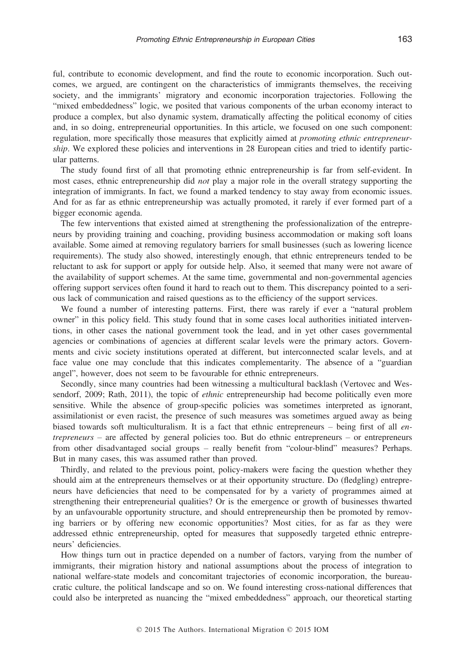ful, contribute to economic development, and find the route to economic incorporation. Such outcomes, we argued, are contingent on the characteristics of immigrants themselves, the receiving society, and the immigrants' migratory and economic incorporation trajectories. Following the "mixed embeddedness" logic, we posited that various components of the urban economy interact to produce a complex, but also dynamic system, dramatically affecting the political economy of cities and, in so doing, entrepreneurial opportunities. In this article, we focused on one such component: regulation, more specifically those measures that explicitly aimed at *promoting ethnic entrepreneur*ship. We explored these policies and interventions in 28 European cities and tried to identify particular patterns.

The study found first of all that promoting ethnic entrepreneurship is far from self-evident. In most cases, ethnic entrepreneurship did *not* play a major role in the overall strategy supporting the integration of immigrants. In fact, we found a marked tendency to stay away from economic issues. And for as far as ethnic entrepreneurship was actually promoted, it rarely if ever formed part of a bigger economic agenda.

The few interventions that existed aimed at strengthening the professionalization of the entrepreneurs by providing training and coaching, providing business accommodation or making soft loans available. Some aimed at removing regulatory barriers for small businesses (such as lowering licence requirements). The study also showed, interestingly enough, that ethnic entrepreneurs tended to be reluctant to ask for support or apply for outside help. Also, it seemed that many were not aware of the availability of support schemes. At the same time, governmental and non-governmental agencies offering support services often found it hard to reach out to them. This discrepancy pointed to a serious lack of communication and raised questions as to the efficiency of the support services.

We found a number of interesting patterns. First, there was rarely if ever a "natural problem owner" in this policy field. This study found that in some cases local authorities initiated interventions, in other cases the national government took the lead, and in yet other cases governmental agencies or combinations of agencies at different scalar levels were the primary actors. Governments and civic society institutions operated at different, but interconnected scalar levels, and at face value one may conclude that this indicates complementarity. The absence of a "guardian angel", however, does not seem to be favourable for ethnic entrepreneurs.

Secondly, since many countries had been witnessing a multicultural backlash (Vertovec and Wessendorf, 2009; Rath, 2011), the topic of *ethnic* entrepreneurship had become politically even more sensitive. While the absence of group-specific policies was sometimes interpreted as ignorant, assimilationist or even racist, the presence of such measures was sometimes argued away as being biased towards soft multiculturalism. It is a fact that ethnic entrepreneurs – being first of all *en*trepreneurs – are affected by general policies too. But do ethnic entrepreneurs – or entrepreneurs from other disadvantaged social groups – really benefit from "colour-blind" measures? Perhaps. But in many cases, this was assumed rather than proved.

Thirdly, and related to the previous point, policy-makers were facing the question whether they should aim at the entrepreneurs themselves or at their opportunity structure. Do (fledgling) entrepreneurs have deficiencies that need to be compensated for by a variety of programmes aimed at strengthening their entrepreneurial qualities? Or is the emergence or growth of businesses thwarted by an unfavourable opportunity structure, and should entrepreneurship then be promoted by removing barriers or by offering new economic opportunities? Most cities, for as far as they were addressed ethnic entrepreneurship, opted for measures that supposedly targeted ethnic entrepreneurs' deficiencies.

How things turn out in practice depended on a number of factors, varying from the number of immigrants, their migration history and national assumptions about the process of integration to national welfare-state models and concomitant trajectories of economic incorporation, the bureaucratic culture, the political landscape and so on. We found interesting cross-national differences that could also be interpreted as nuancing the "mixed embeddedness" approach, our theoretical starting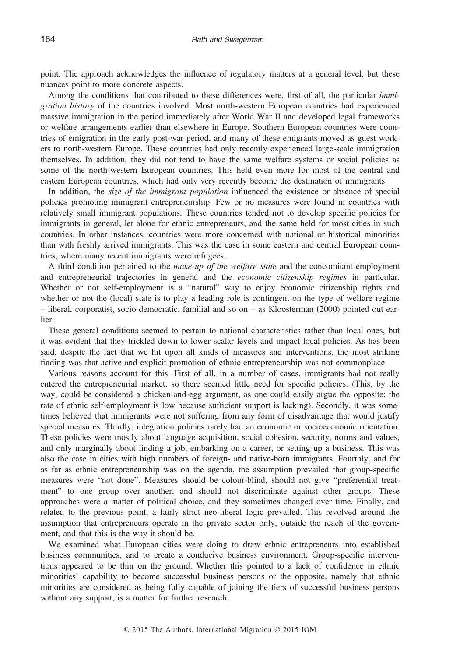point. The approach acknowledges the influence of regulatory matters at a general level, but these nuances point to more concrete aspects.

Among the conditions that contributed to these differences were, first of all, the particular immigration history of the countries involved. Most north-western European countries had experienced massive immigration in the period immediately after World War II and developed legal frameworks or welfare arrangements earlier than elsewhere in Europe. Southern European countries were countries of emigration in the early post-war period, and many of these emigrants moved as guest workers to north-western Europe. These countries had only recently experienced large-scale immigration themselves. In addition, they did not tend to have the same welfare systems or social policies as some of the north-western European countries. This held even more for most of the central and eastern European countries, which had only very recently become the destination of immigrants.

In addition, the *size of the immigrant population* influenced the existence or absence of special policies promoting immigrant entrepreneurship. Few or no measures were found in countries with relatively small immigrant populations. These countries tended not to develop specific policies for immigrants in general, let alone for ethnic entrepreneurs, and the same held for most cities in such countries. In other instances, countries were more concerned with national or historical minorities than with freshly arrived immigrants. This was the case in some eastern and central European countries, where many recent immigrants were refugees.

A third condition pertained to the make-up of the welfare state and the concomitant employment and entrepreneurial trajectories in general and the economic citizenship regimes in particular. Whether or not self-employment is a "natural" way to enjoy economic citizenship rights and whether or not the (local) state is to play a leading role is contingent on the type of welfare regime – liberal, corporatist, socio-democratic, familial and so on – as Kloosterman (2000) pointed out earlier.

These general conditions seemed to pertain to national characteristics rather than local ones, but it was evident that they trickled down to lower scalar levels and impact local policies. As has been said, despite the fact that we hit upon all kinds of measures and interventions, the most striking finding was that active and explicit promotion of ethnic entrepreneurship was not commonplace.

Various reasons account for this. First of all, in a number of cases, immigrants had not really entered the entrepreneurial market, so there seemed little need for specific policies. (This, by the way, could be considered a chicken-and-egg argument, as one could easily argue the opposite: the rate of ethnic self-employment is low because sufficient support is lacking). Secondly, it was sometimes believed that immigrants were not suffering from any form of disadvantage that would justify special measures. Thirdly, integration policies rarely had an economic or socioeconomic orientation. These policies were mostly about language acquisition, social cohesion, security, norms and values, and only marginally about finding a job, embarking on a career, or setting up a business. This was also the case in cities with high numbers of foreign- and native-born immigrants. Fourthly, and for as far as ethnic entrepreneurship was on the agenda, the assumption prevailed that group-specific measures were "not done". Measures should be colour-blind, should not give "preferential treatment" to one group over another, and should not discriminate against other groups. These approaches were a matter of political choice, and they sometimes changed over time. Finally, and related to the previous point, a fairly strict neo-liberal logic prevailed. This revolved around the assumption that entrepreneurs operate in the private sector only, outside the reach of the government, and that this is the way it should be.

We examined what European cities were doing to draw ethnic entrepreneurs into established business communities, and to create a conducive business environment. Group-specific interventions appeared to be thin on the ground. Whether this pointed to a lack of confidence in ethnic minorities' capability to become successful business persons or the opposite, namely that ethnic minorities are considered as being fully capable of joining the tiers of successful business persons without any support, is a matter for further research.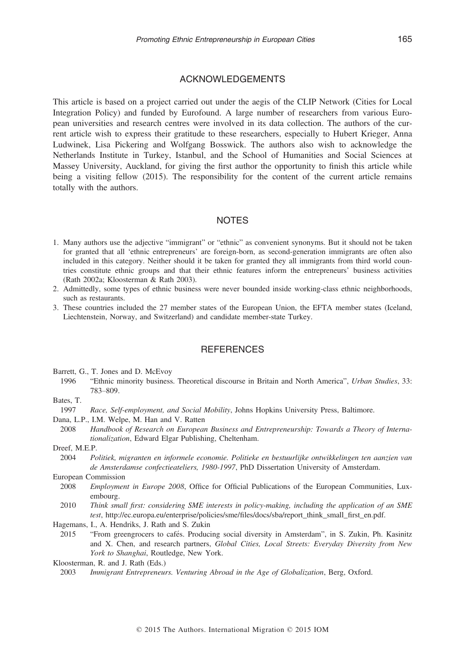## ACKNOWLEDGEMENTS

This article is based on a project carried out under the aegis of the CLIP Network (Cities for Local Integration Policy) and funded by Eurofound. A large number of researchers from various European universities and research centres were involved in its data collection. The authors of the current article wish to express their gratitude to these researchers, especially to Hubert Krieger, Anna Ludwinek, Lisa Pickering and Wolfgang Bosswick. The authors also wish to acknowledge the Netherlands Institute in Turkey, Istanbul, and the School of Humanities and Social Sciences at Massey University, Auckland, for giving the first author the opportunity to finish this article while being a visiting fellow (2015). The responsibility for the content of the current article remains totally with the authors.

#### **NOTES**

- 1. Many authors use the adjective "immigrant" or "ethnic" as convenient synonyms. But it should not be taken for granted that all 'ethnic entrepreneurs' are foreign-born, as second-generation immigrants are often also included in this category. Neither should it be taken for granted they all immigrants from third world countries constitute ethnic groups and that their ethnic features inform the entrepreneurs' business activities (Rath 2002a; Kloosterman & Rath 2003).
- 2. Admittedly, some types of ethnic business were never bounded inside working-class ethnic neighborhoods, such as restaurants.
- 3. These countries included the 27 member states of the European Union, the EFTA member states (Iceland, Liechtenstein, Norway, and Switzerland) and candidate member-state Turkey.

#### **REFERENCES**

Barrett, G., T. Jones and D. McEvoy

1996 "Ethnic minority business. Theoretical discourse in Britain and North America", Urban Studies, 33: 783–809.

Bates, T.

1997 Race, Self-employment, and Social Mobility, Johns Hopkins University Press, Baltimore.

- Dana, L.P., I.M. Welpe, M. Han and V. Ratten
	- 2008 Handbook of Research on European Business and Entrepreneurship: Towards a Theory of Internationalization, Edward Elgar Publishing, Cheltenham.

Dreef, M.E.P.

2004 Politiek, migranten en informele economie. Politieke en bestuurlijke ontwikkelingen ten aanzien van de Amsterdamse confectieateliers, 1980-1997, PhD Dissertation University of Amsterdam.

European Commission

- 2008 Employment in Europe 2008, Office for Official Publications of the European Communities, Luxembourg.
- 2010 Think small first: considering SME interests in policy-making, including the application of an SME test, [http://ec.europa.eu/enterprise/policies/sme/](http://ec.europa.eu/enterprise/policies/sme/files/docs/sba/report_think_small_first_en.pdf)files/docs/sba/report\_think\_small\_first\_en.pdf.

Hagemans, I., A. Hendriks, J. Rath and S. Zukin

2015 "From greengrocers to cafés. Producing social diversity in Amsterdam", in S. Zukin, Ph. Kasinitz and X. Chen, and research partners, Global Cities, Local Streets: Everyday Diversity from New York to Shanghai, Routledge, New York.

Kloosterman, R. and J. Rath (Eds.)

2003 Immigrant Entrepreneurs. Venturing Abroad in the Age of Globalization, Berg, Oxford.